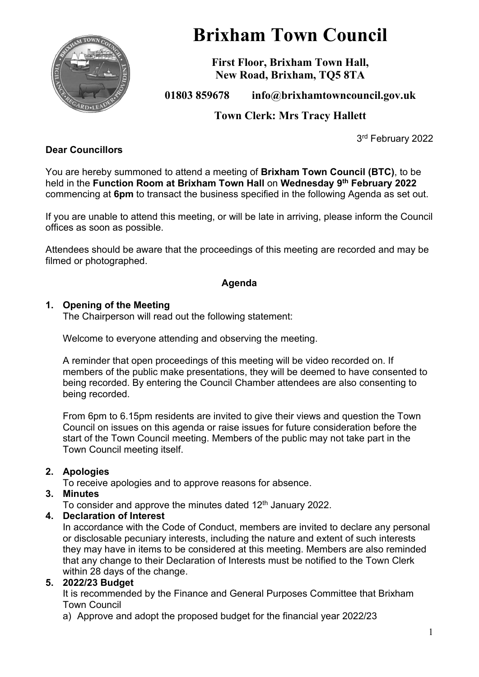

# **Brixham Town Council**

**First Floor, Brixham Town Hall, New Road, Brixham, TQ5 8TA**

**01803 859678 info@brixhamtowncouncil.gov.uk**

**Town Clerk: Mrs Tracy Hallett**

3rd February 2022

#### **Dear Councillors**

You are hereby summoned to attend a meeting of **Brixham Town Council (BTC)**, to be held in the **Function Room at Brixham Town Hall** on **Wednesday 9 th February 2022** commencing at **6pm** to transact the business specified in the following Agenda as set out.

If you are unable to attend this meeting, or will be late in arriving, please inform the Council offices as soon as possible.

Attendees should be aware that the proceedings of this meeting are recorded and may be filmed or photographed.

#### **Agenda**

#### **1. Opening of the Meeting**

The Chairperson will read out the following statement:

Welcome to everyone attending and observing the meeting.

A reminder that open proceedings of this meeting will be video recorded on. If members of the public make presentations, they will be deemed to have consented to being recorded. By entering the Council Chamber attendees are also consenting to being recorded.

From 6pm to 6.15pm residents are invited to give their views and question the Town Council on issues on this agenda or raise issues for future consideration before the start of the Town Council meeting. Members of the public may not take part in the Town Council meeting itself.

#### **2. Apologies**

To receive apologies and to approve reasons for absence.

#### **3. Minutes**

To consider and approve the minutes dated 12<sup>th</sup> January 2022.

#### **4. Declaration of Interest**

In accordance with the Code of Conduct, members are invited to declare any personal or disclosable pecuniary interests, including the nature and extent of such interests they may have in items to be considered at this meeting. Members are also reminded that any change to their Declaration of Interests must be notified to the Town Clerk within 28 days of the change.

#### **5. 2022/23 Budget**

It is recommended by the Finance and General Purposes Committee that Brixham Town Council

a) Approve and adopt the proposed budget for the financial year 2022/23